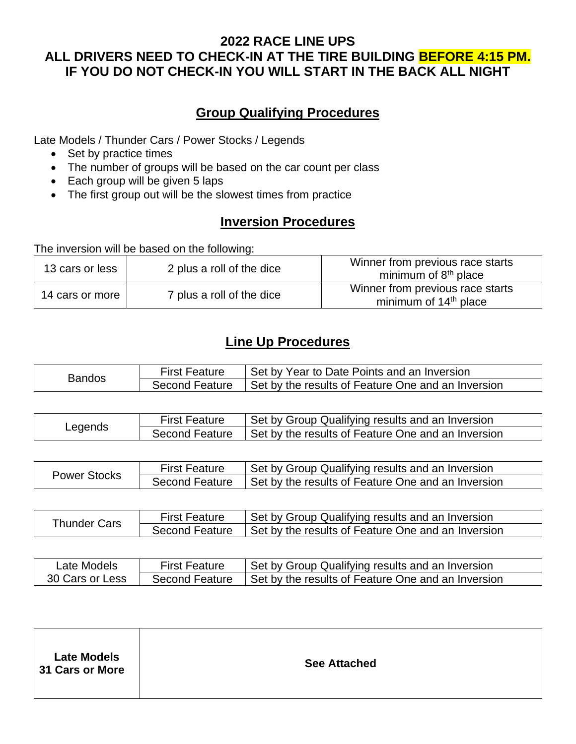## **2022 RACE LINE UPS ALL DRIVERS NEED TO CHECK-IN AT THE TIRE BUILDING BEFORE 4:15 PM. IF YOU DO NOT CHECK-IN YOU WILL START IN THE BACK ALL NIGHT**

## **Group Qualifying Procedures**

Late Models / Thunder Cars / Power Stocks / Legends

- Set by practice times
- The number of groups will be based on the car count per class
- Each group will be given 5 laps
- The first group out will be the slowest times from practice

## **Inversion Procedures**

The inversion will be based on the following:

| 13 cars or less | 2 plus a roll of the dice | Winner from previous race starts<br>minimum of $8th$ place            |
|-----------------|---------------------------|-----------------------------------------------------------------------|
| 14 cars or more | 7 plus a roll of the dice | Winner from previous race starts<br>minimum of 14 <sup>th</sup> place |

## **Line Up Procedures**

| Bandos | <b>First Feature</b>  | Set by Year to Date Points and an Inversion        |
|--------|-----------------------|----------------------------------------------------|
|        | <b>Second Feature</b> | Set by the results of Feature One and an Inversion |

| Legends | <b>First Feature</b>  | Set by Group Qualifying results and an Inversion   |
|---------|-----------------------|----------------------------------------------------|
|         | <b>Second Feature</b> | Set by the results of Feature One and an Inversion |

| Power Stocks | <b>First Feature</b> | Set by Group Qualifying results and an Inversion                  |
|--------------|----------------------|-------------------------------------------------------------------|
|              |                      | Second Feature Set by the results of Feature One and an Inversion |

| Thunder Cars | <b>First Feature</b>  | Set by Group Qualifying results and an Inversion   |
|--------------|-----------------------|----------------------------------------------------|
|              | <b>Second Feature</b> | Set by the results of Feature One and an Inversion |

| Late Models     | <b>First Feature</b> | Set by Group Qualifying results and an Inversion   |
|-----------------|----------------------|----------------------------------------------------|
| 30 Cars or Less | Second Feature       | Set by the results of Feature One and an Inversion |

| <b>Late Models</b><br><b>See Attached</b><br>31 Cars or More |
|--------------------------------------------------------------|
|--------------------------------------------------------------|